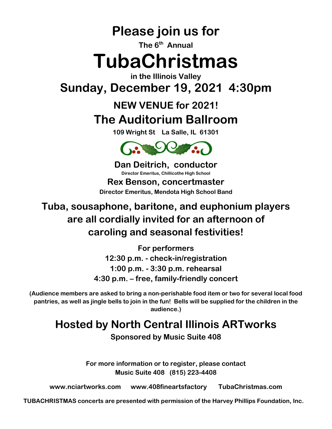**Please join us for**

**The 6 th Annual** 

# **TubaChristmas**

**in the Illinois Valley Sunday, December 19, 2021 4:30pm**

# **NEW VENUE for 2021! The Auditorium Ballroom**

**109 Wright St La Salle, IL 61301**



**Dan Deitrich, conductor Director Emeritus, Chillicothe High School Rex Benson, concertmaster Director Emeritus, Mendota High School Band**

### **Tuba, sousaphone, baritone, and euphonium players are all cordially invited for an afternoon of caroling and seasonal festivities!**

**For performers 12:30 p.m. - check-in/registration 1:00 p.m. - 3:30 p.m. rehearsal 4:30 p.m. – free, family-friendly concert**

**(Audience members are asked to bring a non-perishable food item or two for several local food pantries, as well as jingle bells to join in the fun! Bells will be supplied for the children in the audience.)**

# **Hosted by North Central Illinois ARTworks**

**Sponsored by Music Suite 408**

**For more information or to register, please contact Music Suite 408 (815) 223-4408**

**www.nciartworks.com www.408fineartsfactory TubaChristmas.com**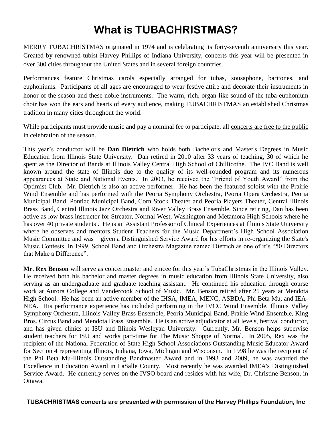## **What is TUBACHRISTMAS?**

MERRY TUBACHRISTMAS originated in 1974 and is celebrating its forty-seventh anniversary this year. Created by renowned tubist Harvey Phillips of Indiana University, concerts this year will be presented in over 300 cities throughout the United States and in several foreign countries.

Performances feature Christmas carols especially arranged for tubas, sousaphone, baritones, and euphoniums. Participants of all ages are encouraged to wear festive attire and decorate their instruments in honor of the season and these noble instruments. The warm, rich, organ-like sound of the tuba-euphonium choir has won the ears and hearts of every audience, making TUBACHRISTMAS an established Christmas tradition in many cities throughout the world.

While participants must provide music and pay a nominal fee to participate, all concerts are free to the public in celebration of the season.

This year's conductor will be **Dan Dietrich** who holds both Bachelor's and Master's Degrees in Music Education from Illinois State University. Dan retired in 2010 after 33 years of teaching, 30 of which he spent as the Director of Bands at Illinois Valley Central High School of Chillicothe. The IVC Band is well known around the state of Illinois due to the quality of its well-rounded program and its numerous appearances at State and National Events. In 2003, he received the "Friend of Youth Award" from the Optimist Club. Mr. Dietrich is also an active performer. He has been the featured soloist with the Prairie Wind Ensemble and has performed with the Peoria Symphony Orchestra, Peoria Opera Orchestra, Peoria Municipal Band, Pontiac Municipal Band, Corn Stock Theater and Peoria Players Theater, Central Illinois Brass Band, Central Illinois Jazz Orchestra and River Valley Brass Ensemble. Since retiring, Dan has been active as low brass instructor for Streator, Normal West, Washington and Metamora High Schools where he has over 40 private students . He is an Assistant Professor of Clinical Experiences at Illinois State University where he observes and mentors Student Teachers for the Music Department's High School Association Music Committee and was given a Distinguished Service Award for his efforts in re-organizing the State's Music Contests. In 1999, School Band and Orchestra Magazine named Dietrich as one of it's "50 Directors that Make a Difference".

**Mr. Rex Benson** will serve as concertmaster and emcee for this year's TubaChristmas in the Illinois Valley. He received both his bachelor and master degrees in music education from Illinois State University, also serving as an undergraduate and graduate teaching assistant. He continued his education through course work at Aurora College and Vandercook School of Music. Mr. Benson retired after 25 years at Mendota High School. He has been an active member of the IHSA, IMEA, MENC, ASBDA, Phi Beta Mu, and IEA-NEA. His performance experience has included performing in the IVCC Wind Ensemble, Illinois Valley Symphony Orchestra, Illinois Valley Brass Ensemble, Peoria Municipal Band, Prairie Wind Ensemble, King Bros. Circus Band and Mendota Brass Ensemble. He is an active adjudicator at all levels, festival conductor, and has given clinics at ISU and Illinois Wesleyan University. Currently, Mr. Benson helps supervise student teachers for ISU and works part-time for The Music Shoppe of Normal. In 2005, Rex was the recipient of the National Federation of State High School Associations Outstanding Music Educator Award for Section 4 representing Illinois, Indiana, Iowa, Michigan and Wisconsin. In 1998 he was the recipient of the Phi Beta Mu-Illinois Outstanding Bandmaster Award and in 1993 and 2009, he was awarded the Excellence in Education Award in LaSalle County. Most recently he was awarded IMEA's Distinguished Service Award. He currently serves on the IVSO board and resides with his wife, Dr. Christine Benson, in Ottawa.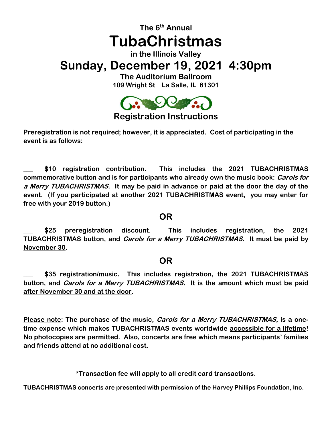### **The 6 th Annual TubaChristmas in the Illinois Valley Sunday, December 19, 2021 4:30pm The Auditorium Ballroom 109 Wright St La Salle, IL 61301**



**Registration Instructions**

**Preregistration is not required; however, it is appreciated. Cost of participating in the event is as follows:**

**\_\_\_ \$10 registration contribution. This includes the 2021 TUBACHRISTMAS commemorative button and is for participants who already own the music book: Carols for a Merry TUBACHRISTMAS. It may be paid in advance or paid at the door the day of the event. (If you participated at another 2021 TUBACHRISTMAS event, you may enter for free with your 2019 button.)**

#### **OR**

**\_\_\_ \$25 preregistration discount. This includes registration, the 2021 TUBACHRISTMAS button, and Carols for a Merry TUBACHRISTMAS. It must be paid by November 30.**

#### **OR**

**\_\_\_ \$35 registration/music. This includes registration, the 2021 TUBACHRISTMAS button, and Carols for a Merry TUBACHRISTMAS. It is the amount which must be paid after November 30 and at the door.**

**Please note: The purchase of the music, Carols for a Merry TUBACHRISTMAS, is a onetime expense which makes TUBACHRISTMAS events worldwide accessible for a lifetime! No photocopies are permitted. Also, concerts are free which means participants' families and friends attend at no additional cost.**

**\*Transaction fee will apply to all credit card transactions.**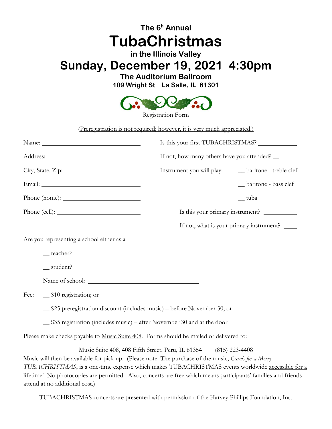### **The 6 <sup>h</sup> Annual TubaChristmas in the Illinois Valley Sunday, December 19, 2021 4:30pm The Auditorium Ballroom**

**109 Wright St La Salle, IL 61301**



Registration Form

(Preregistration is not required; however, it is very much appreciated.)

|                                                                                        | Is this your first TUBACHRISTMAS?                                                                                                                                         |
|----------------------------------------------------------------------------------------|---------------------------------------------------------------------------------------------------------------------------------------------------------------------------|
|                                                                                        | If not, how many others have you attended? _______                                                                                                                        |
| $City, State, Zip: __________$                                                         | _baritone - treble clef<br>Instrument you will play:                                                                                                                      |
|                                                                                        | _baritone - bass clef                                                                                                                                                     |
|                                                                                        | __ tuba                                                                                                                                                                   |
|                                                                                        |                                                                                                                                                                           |
|                                                                                        | If not, what is your primary instrument? ______                                                                                                                           |
| Are you representing a school either as a                                              |                                                                                                                                                                           |
| $=$ teacher?                                                                           |                                                                                                                                                                           |
| $s$ tudent?                                                                            |                                                                                                                                                                           |
|                                                                                        |                                                                                                                                                                           |
| Fee:<br>$\equiv$ \$10 registration; or                                                 |                                                                                                                                                                           |
| _\$25 preregistration discount (includes music) – before November 30; or               |                                                                                                                                                                           |
| _\$35 registration (includes music) – after November 30 and at the door                |                                                                                                                                                                           |
| Please make checks payable to Music Suite 408. Forms should be mailed or delivered to: |                                                                                                                                                                           |
|                                                                                        | Music Suite 408, 408 Fifth Street, Peru, IL 61354 (815) 223-4408<br>Music will then be available for pick up. (Please note: The purchase of the music, Carols for a Merry |

*TUBACHRISTMAS*, is a one-time expense which makes TUBACHRISTMAS events worldwide accessible for a lifetime! No photocopies are permitted. Also, concerts are free which means participants' families and friends attend at no additional cost.)